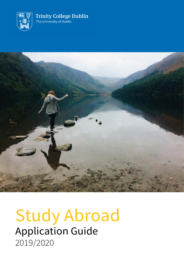



## Study Abroad Application Guide 2019/2020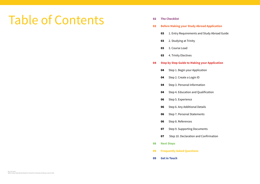- **The Checklist Before Making your Study Abroad Application** 03 1. Entry Requirements and Study Abroad Guide 2. Studying at Trinity 03 3. Course Load 03 4. Trinity Electives **Step by Step Guide to Making your Application**
	- Step 2. Create a Login ID
	- Step 3. Personal Information
	- Step 4. Education and Qualification
	- 06 Step 5. Experience
	- Step 6. Any Additional Details
	- Step 7. Personal Statements
	- Step 8. References
	- Step 9. Supporting Documents
	- Step 10. Declaration and Confirmation
- **Next Steps**
- **Frequently Asked Questions**
- **Get in Touch**

# Table of Contents

Step 1. Begin your Application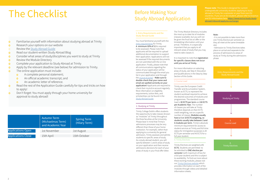# The Checklist Before Making Your

- Familiarise yourself with information about studying abroad at Trinity  $\overline{O}$
- Research your options on our website  $\Omega$
- o Review the [Study Abroad Guide](https://www.tcd.ie/globalrelations/assets/Resources%20pdf/Study%20Abroad%20Guide%202019.pdf)
- Read our student-written Study Abroad Blog  $\Omega$
- Consider what areas of study/disciplines you want to study at Trinity  $\overline{O}$
- Review the Module Directory  $\overline{O}$
- Complete your application to Study Abroad at Trinity  $\overline{O}$
- Apply by the relevant deadline (see below) for admission to Trinity.  $\overline{O}$
- The online application must include:  $\Omega$ 
	- A complete personal statement;  $\overline{O}$
	- **o** An official academic transcript; and
	- An academic letter of reference.
- Read the rest of the Application Guide carefully for tips and tricks on how  $\overline{O}$ to apply!
- Don't forget: You must apply through your home university for  $\overline{O}$ approval to study abroad!

**Please note**: This Guide is designed for current countries. If you are an EU student, please refer to Erasmus and EU information here[:https://www.tcd.ie/study/study](http://www.tcd.ie/study/study-abroad/inbound/apply/eu-exchange/)[abroad/inbound/apply/eu-exchange/](http://www.tcd.ie/study/study-abroad/inbound/apply/eu-exchange/)

# Study Abroad Application

|                           | <b>Autumn Term</b><br>(Michaelmas Term)<br>and Academic Year | <b>Spring Term</b><br>(Hilary Term) |
|---------------------------|--------------------------------------------------------------|-------------------------------------|
| <b>Applications Open</b>  | 1st November                                                 | 1st August                          |
| <b>Applications Close</b> | 15th April                                                   | 15th October                        |

#### 1. Entry Requirements and the Study Abroad Guide

You must familiarise yourself with the [entry requirements](https://www.tcd.ie/study/study-abroad/inbound/apply/.) for Trinity. A minimum GPA of 3.3 is required to be assessed. Please note that applicants will be required to upload additional documentation to support their application. Applications will not be assessed if the required documents are not submitted with the on-line application. Finally, please note that all communications regarding the status of your application will be communicated through the email you list in your application and through the [my.tcd.ie portal](https://my.tcd.ie/urd/sits.urd/run/siw_lgn) – Make sure to double-check that your name and email are spelled correctly on your application! Applicants are required to check their my.tcd.ie account regularly. More information on eligibility requirements, tuition fees, and scholarships can be found in the [Study Abroad Guide](https://www.tcd.ie/globalrelations/assets/Resources%20pdf/Study%20Abroad%20Guide%202019.pdf)

It is important to note that registration for specific classes does not occur until you arrive at Trinity.

#### 3. Course Load

Applications Open Trinity College Dublin offers students the opportunity to take classes (known as "modules" at Trinity) throughout the three faculties at the University. Please bear in mind that Trinity's admissions processes may be very different than those of your home institution. For example, rather than applying to a university for general admission, Trinity assesses and admits students to specific areas of study. As a study abroad student, you will specify between 1 and 6 areas of study on your application and then receive admissions decisions for each of your areas of study in your final offer letter.

Trinity uses the European Credit Transfer and Accumulation System, known as ECTS, to represent the student workload required to achieve the desired outcomes of modules and programmes. The standard course load is 30 ECTS per term and 60 ECTS per Academic Year. The number of classes you will take at Trinity therefore depends on their ECTS credit weighting, not on a specific number of classes. Modules usually have a 5 or 10 ECTS weighting, so students usually take between 3 and 6 modules per term. Trinity's absolute minimum requirement for access to student services at Trinity and full-time status for immigration purposes is 20 ECTS per semester and 45 ECTS for a full year student.

#### 2. Studying at Trinity

The Trinity Module Directory includes the most up to date list of modules (classes) available, but you will not be given the final list on offer or the timetabling information until your arrival. Therefore, it is especially important that you apply to all relevant areas of study that you may need to take classes in.

For more information on selecting areas of study, see Step 4: Education and Qualifications in the Step by Step Section of this Guide.

#### 4. Trinity Electives

Trinity Electives are weighted at 5 ECTS. Students are permitted to be admitted to ONE elective per semester (with maximum of two for a full year student) and this is subject to availability. To find out more about these exciting modules, please visit our [Trinity Electives website](https://www.tcd.ie/trinity-electives/) which provides information on each of the modules through videos and detailed information sheets.

#### Note:

· It is not possible to take more than one Trinity Elective per semester as they all meet at the same timetable slot.

· Admission to Trinity Electives takes place on arrival and separate to the process of admissions to areas of study at Trinity during the admissions phase.

Study Abroad Guide

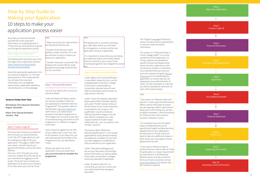## Step by Step Guide to Making your Application 10 steps to make your application process easier

Now that you have familiarised yourself with some important information on studying abroad at Trinity, here are some pointers to guide you through the application proces.

#### Step 1: Begin Your Application

The following link will direct you to the first page of your application process: https://www.tcd.ie/study/studyabroad/outbound/apply/

Select the appropriate application link you choose to apply for: i.e. Full year study abroad or Term study abroad. You will also find important information such as eligibility requirements, application deadlines, scholarships etc. on this webpage.

#### Step 2: Create a Login ID

If you choose to register for the SSP, all you need to do is mark 'Yes' next to the question. If you select Yes, you will automatically be enrolled in the Programme if you are admitted to **Trinity** 

Once you have chosen your preferred term of study, you will be directed to the "My TCD" page where you will be creating your login ID for your application. This page is called 'New user screen' and will require your general information such as full name, DOB etc.

Once you click 'Proceed', you must note your student ID as this will act as your username for logging in to the portal. The ID will serve as both your Application ID as well as your Student ID number when you enrol at Trinity.

### Tips:

Make sure to list your date of birth in the Day-Month-Year format.

You will now need to fill in all of your personal details.

Double-check your course title. NEU Visiting is the correct title for study abroad and exchange students from non-EU countries.

Under the Applicant Status section, you will see a question titled 'Are you applying to a Semester Start-Up Programme?' This question refers to the Semester [Start-Up Programme](https://histories-humanities.tcd.ie/visiting/understandingireland/semester-start-up.php.
)  (SSP) which, is an optional presessional orientation programme is. The Programme runs prior to the start of normal teaching, and tuition for the programme is in addition to regular tuition fees

Please only select Yes on the application if you are certain that you can arrive early to complete the programme.

### Tips:

The address line is crucial for receiving your offer letter, which you will need for immigration on arrival, and the visa application process, if applicable.

· It is important to ensure that you are listing your Applicant Status and Further Details sections correctly so you or your home university/programme are charged the correct fees.

> · The section on "Module Codes and Names" is used to give the Admissions Office a sense of the type of classes you are hoping to take in each area of study and is not binding. You are free to apply to between 1 and 6 disciplines at Trinity, but the most common number is between 2 and 4

· Double-check that your email address is listed correctly. If it is not, we will have no way to contact you about your application.

> . For example: If you are an English major and Biochemistry minor, specify both English and Biochemistry departments on your application for admission to Trinity, and if you want to take any additional classes in other areas, you must apply to those departments as well.

> · If you have a module or type of module that you need to take at Trinity for graduation or a major requirement. You should list it in the Required Module section and ask an advisor from your home university to email [study.abroad@tcd.ie](http://https://www.tcd.ie/students/orientation/visiting-exchange/module-enrolment.php) to explain why the module is required.

### Step 3 . Personal Information

#### Step 4: Education and Qualifications

Under Highest 3rd Level Qualification or equivalent, please list your current undergraduate university or college. (Third Level in Ireland refers to Universities, whereas Second Level refers to secondary school, known as high school in the US.)

Under "name of institution attended", please select Other (Outside Ireland), and under "If other", please write out the full name of your home institution, ensuring there are no typos. The qualification would normally be Ordinary bachelor's degree. You will also need to complete your main subject studied (if double-major, undeclared, etc., you can specify in the "If other" section).

The section titled "Additional Relevant Qualifications" is not usually applicable for study abroad students, but please do complete it if you hold any other degrees or qualifications that are relevant to your application.

Under "Educational Background", set out your Secondary School/High School information, as well as details of any other universities or colleges previously attended, if applicable.

Under "Academic Record", it is crucial that you list your correct and up to date Grade Point Average or equivalent.

The "English Language Proficiency" section contains links to requirements in case you need any further information.

The section on "Proposed Study in Trinity College Dublin" is a crucial component of the application. At Trinity, students are admitted to specific schools and departments (areas of study), rather than to the University as a whole. It is therefore very important that you carry out your own research using the [Module](http://https://www.tcd.ie/students/orientation/visiting-exchange/module-enrolment.php)  [Directory p](http://https://www.tcd.ie/students/orientation/visiting-exchange/module-enrolment.php)rior to submitting your application, to ensure that you are applying to your preferred areas of study. It is also important to note that you will be assessed for admission to each of the areas of study.

#### Tips:

#### **Terms in Trinity Term Time**

Michaelmas Term (Autumn Semester) August -December

Hilary Term (Spring Semester) January - May

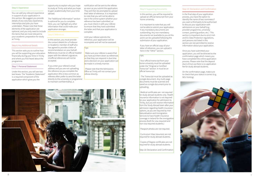#### Step 5: Experience

You can add any relevant experience in support of your application in this section. We suggest you provide details of any voluntary experience, internships and jobs you have undertaken. Please note that these elements of the application are optional, and you only need to include the items that are most relevant to your academic preparation for study at Trinity.

#### Step 6: Any Additional Details

This section asks you to outline how you will be supporting your education financially during your time in Trinity and where you first heard about the programme.

#### Step 7: Personal Statement

Under this section, you will see two text boxes. The "Academic Statement" is a required component of the application which gives you the

opportunity to explain why you hope to study at Trinity and what you hope to gain academically from your time abroad.

The "Additional Information" section is optional for you to complete. Here, you can highlight any other information that could make your application stronger.

#### Step 8: References

In this section, you must provide the contact details for a Professor or Academic member of staff who has agreed to provide a letter of recommendation on your behalf. References must be on official headed paper with the referee's signature. Unofficial references will not be accepted.

If you enter your referee's email address and you are not uploading the reference as you complete the application (this is less common as referees often prefer to send the letter directly to the university or programme to maintain confidentiality), a

notification will be sent to the referee as soon as you submit the application. They will then be prompted to upload their letter of reference. It is important to note that you will not be able to see in the online system whether your reference has been submitted, so you must check in with your referee to ensure that they have submitted the letter and that your application is complete.

Until your referee submits the reference, your application will be incomplete and will not be assessed.

#### Tips:

· Make sure your referee is aware that you have put them down as references so that they can respond in due time and a decision on your application can be made in a timely manner.

> Medical certificates are not required for study abroad students only. Health insurance information is not required for your application for admission to Trinity, but you will receive information from the Study Abroad team after your admission regarding health insurance options, as you are required by Irish Naturalisation and Immigration Services to have health insurance coverage in Ireland for the immigration process (both for visa-required and non-visa required students.)

Passport photos are not required.

Curriculum Vitae (resumes) are not required for study abroad students.

· Please note that the Admissions Office at Trinity will not contact your referee directly.



Copies of Degree certificates are not required for study abroad students.

Step 10: Declaration and Confirmation

#### Step 9: Supporting Documents

In this section, you will be required to upload an official transcript from your home university.

It is important to note that you will not be able to submit your application if any mandatory documents are outstanding. Any non-mandatory documents not available to you at this point can be uploaded following the submission of your application.

If you have an official copy of your letter of reference, you can upload it here in the "Other" section.

#### Step 10: Declaration and Confirmation

In the final step of your application process, you have the option to identify the name of two nominees if you want a third party to be authorised to discuss your application with admissions on your behalf (e.g. provider programme, university contact, parent/guardian, etc.) This section is important due to strict Irish and EU Data Protection regulations, and persons not listed in this section are not permitted to receive information about your application.

Once you have submitted your application, you will be directed to the confirmation page which means you have completed the online application process. Please note that the deposit due is 0 Euro as there is no application fee for study abroad students.

On the confirmation page, make sure to check that your status is correct (e.g.



NEU Visiting).



#### Tips:

· Your official transcript from your home university must be uploaded under the "Original or Certified Transcript" section. It must be an official transcript.

 · The Transcript must be uploaded as a single document. Any multi-page documents must be scanned and saved as a single document prior to uploading.